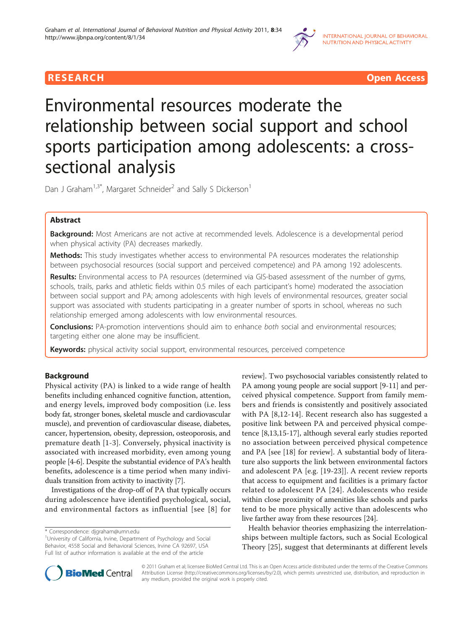

RESEARCH **CONTROL** CONTROL CONTROL CONTROL CONTROL CONTROL CONTROL CONTROL CONTROL CONTROL CONTROL CONTROL CONTROL CONTROL CONTROL CONTROL CONTROL CONTROL CONTROL CONTROL CONTROL CONTROL CONTROL CONTROL CONTROL CONTROL CON

# Environmental resources moderate the relationship between social support and school sports participation among adolescents: a crosssectional analysis

Dan J Graham<sup>1,3\*</sup>, Margaret Schneider<sup>2</sup> and Sally S Dickerson<sup>1</sup>

# Abstract

**Background:** Most Americans are not active at recommended levels. Adolescence is a developmental period when physical activity (PA) decreases markedly.

Methods: This study investigates whether access to environmental PA resources moderates the relationship between psychosocial resources (social support and perceived competence) and PA among 192 adolescents.

Results: Environmental access to PA resources (determined via GIS-based assessment of the number of gyms, schools, trails, parks and athletic fields within 0.5 miles of each participant's home) moderated the association between social support and PA; among adolescents with high levels of environmental resources, greater social support was associated with students participating in a greater number of sports in school, whereas no such relationship emerged among adolescents with low environmental resources.

**Conclusions:** PA-promotion interventions should aim to enhance both social and environmental resources; targeting either one alone may be insufficient.

Keywords: physical activity social support, environmental resources, perceived competence

# Background

Physical activity (PA) is linked to a wide range of health benefits including enhanced cognitive function, attention, and energy levels, improved body composition (i.e. less body fat, stronger bones, skeletal muscle and cardiovascular muscle), and prevention of cardiovascular disease, diabetes, cancer, hypertension, obesity, depression, osteoporosis, and premature death [\[1-3](#page-8-0)]. Conversely, physical inactivity is associated with increased morbidity, even among young people [\[4-6\]](#page-8-0). Despite the substantial evidence of PA's health benefits, adolescence is a time period when many individuals transition from activity to inactivity [\[7](#page-8-0)].

Investigations of the drop-off of PA that typically occurs during adolescence have identified psychological, social, and environmental factors as influential [see [\[8\]](#page-8-0) for

review]. Two psychosocial variables consistently related to PA among young people are social support [\[9-11\]](#page-8-0) and perceived physical competence. Support from family members and friends is consistently and positively associated with PA [[8,12-14](#page-8-0)]. Recent research also has suggested a positive link between PA and perceived physical competence [\[8,13,15-17](#page-8-0)], although several early studies reported no association between perceived physical competence and PA [see [[18](#page-8-0)] for review]. A substantial body of literature also supports the link between environmental factors and adolescent PA [e.g. [[19-](#page-8-0)[23](#page-9-0)]]. A recent review reports that access to equipment and facilities is a primary factor related to adolescent PA [[24\]](#page-9-0). Adolescents who reside within close proximity of amenities like schools and parks tend to be more physically active than adolescents who live farther away from these resources [\[24\]](#page-9-0).

Health behavior theories emphasizing the interrelationships between multiple factors, such as Social Ecological Theory [\[25](#page-9-0)], suggest that determinants at different levels



© 2011 Graham et al; licensee BioMed Central Ltd. This is an Open Access article distributed under the terms of the Creative Commons Attribution License [\(http://creativecommons.org/licenses/by/2.0](http://creativecommons.org/licenses/by/2.0)), which permits unrestricted use, distribution, and reproduction in any medium, provided the original work is properly cited.

<sup>\*</sup> Correspondence: [djgraham@umn.edu](mailto:djgraham@umn.edu)

<sup>&</sup>lt;sup>1</sup>University of California, Irvine, Department of Psychology and Social Behavior, 4558 Social and Behavioral Sciences, Irvine CA 92697, USA Full list of author information is available at the end of the article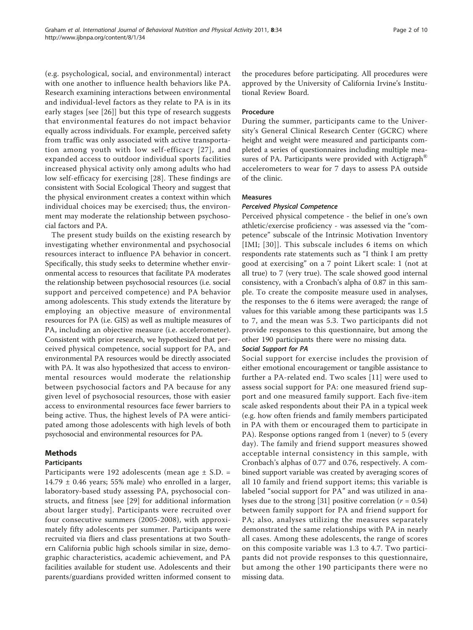(e.g. psychological, social, and environmental) interact with one another to influence health behaviors like PA. Research examining interactions between environmental and individual-level factors as they relate to PA is in its early stages [see [[26\]](#page-9-0)] but this type of research suggests that environmental features do not impact behavior equally across individuals. For example, perceived safety from traffic was only associated with active transportation among youth with low self-efficacy [[27](#page-9-0)], and expanded access to outdoor individual sports facilities increased physical activity only among adults who had low self-efficacy for exercising [[28\]](#page-9-0). These findings are consistent with Social Ecological Theory and suggest that the physical environment creates a context within which individual choices may be exercised; thus, the environment may moderate the relationship between psychosocial factors and PA.

The present study builds on the existing research by investigating whether environmental and psychosocial resources interact to influence PA behavior in concert. Specifically, this study seeks to determine whether environmental access to resources that facilitate PA moderates the relationship between psychosocial resources (i.e. social support and perceived competence) and PA behavior among adolescents. This study extends the literature by employing an objective measure of environmental resources for PA (i.e. GIS) as well as multiple measures of PA, including an objective measure (i.e. accelerometer). Consistent with prior research, we hypothesized that perceived physical competence, social support for PA, and environmental PA resources would be directly associated with PA. It was also hypothesized that access to environmental resources would moderate the relationship between psychosocial factors and PA because for any given level of psychosocial resources, those with easier access to environmental resources face fewer barriers to being active. Thus, the highest levels of PA were anticipated among those adolescents with high levels of both psychosocial and environmental resources for PA.

# Methods

#### Participants

Participants were 192 adolescents (mean age  $\pm$  S.D. =  $14.79 \pm 0.46$  years; 55% male) who enrolled in a larger, laboratory-based study assessing PA, psychosocial constructs, and fitness [see [[29](#page-9-0)] for additional information about larger study]. Participants were recruited over four consecutive summers (2005-2008), with approximately fifty adolescents per summer. Participants were recruited via fliers and class presentations at two Southern California public high schools similar in size, demographic characteristics, academic achievement, and PA facilities available for student use. Adolescents and their parents/guardians provided written informed consent to the procedures before participating. All procedures were approved by the University of California Irvine's Institutional Review Board.

#### Procedure

During the summer, participants came to the University's General Clinical Research Center (GCRC) where height and weight were measured and participants completed a series of questionnaires including multiple measures of PA. Participants were provided with Actigraph<sup>®</sup> accelerometers to wear for 7 days to assess PA outside of the clinic.

# Measures

#### Perceived Physical Competence

Perceived physical competence - the belief in one's own athletic/exercise proficiency - was assessed via the "competence" subscale of the Intrinsic Motivation Inventory [IMI; [[30](#page-9-0)]]. This subscale includes 6 items on which respondents rate statements such as "I think I am pretty good at exercising" on a 7 point Likert scale: 1 (not at all true) to 7 (very true). The scale showed good internal consistency, with a Cronbach's alpha of 0.87 in this sample. To create the composite measure used in analyses, the responses to the 6 items were averaged; the range of values for this variable among these participants was 1.5 to 7, and the mean was 5.3. Two participants did not provide responses to this questionnaire, but among the other 190 participants there were no missing data.

# Social Support for PA

Social support for exercise includes the provision of either emotional encouragement or tangible assistance to further a PA-related end. Two scales [[11](#page-8-0)] were used to assess social support for PA: one measured friend support and one measured family support. Each five-item scale asked respondents about their PA in a typical week (e.g. how often friends and family members participated in PA with them or encouraged them to participate in PA). Response options ranged from 1 (never) to 5 (every day). The family and friend support measures showed acceptable internal consistency in this sample, with Cronbach's alphas of 0.77 and 0.76, respectively. A combined support variable was created by averaging scores of all 10 family and friend support items; this variable is labeled "social support for PA" and was utilized in ana-lyses due to the strong [[31\]](#page-9-0) positive correlation ( $r = 0.54$ ) between family support for PA and friend support for PA; also, analyses utilizing the measures separately demonstrated the same relationships with PA in nearly all cases. Among these adolescents, the range of scores on this composite variable was 1.3 to 4.7. Two participants did not provide responses to this questionnaire, but among the other 190 participants there were no missing data.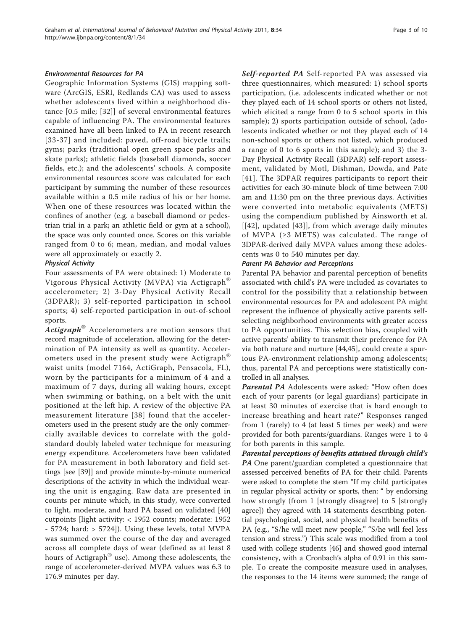#### Environmental Resources for PA

Geographic Information Systems (GIS) mapping software (ArcGIS, ESRI, Redlands CA) was used to assess whether adolescents lived within a neighborhood distance [0.5 mile; [[32](#page-9-0)]] of several environmental features capable of influencing PA. The environmental features examined have all been linked to PA in recent research [[33](#page-9-0)-[37\]](#page-9-0) and included: paved, off-road bicycle trails; gyms; parks (traditional open green space parks and skate parks); athletic fields (baseball diamonds, soccer fields, etc.); and the adolescents' schools. A composite environmental resources score was calculated for each participant by summing the number of these resources available within a 0.5 mile radius of his or her home. When one of these resources was located within the confines of another (e.g. a baseball diamond or pedestrian trial in a park; an athletic field or gym at a school), the space was only counted once. Scores on this variable ranged from 0 to 6; mean, median, and modal values were all approximately or exactly 2.

#### Physical Activity

Four assessments of PA were obtained: 1) Moderate to Vigorous Physical Activity (MVPA) via Actigraph® accelerometer; 2) 3-Day Physical Activity Recall (3DPAR); 3) self-reported participation in school sports; 4) self-reported participation in out-of-school sports.

Actigraph<sup>®</sup> Accelerometers are motion sensors that record magnitude of acceleration, allowing for the determination of PA intensity as well as quantity. Accelerometers used in the present study were Actigraph® waist units (model 7164, ActiGraph, Pensacola, FL), worn by the participants for a minimum of 4 and a maximum of 7 days, during all waking hours, except when swimming or bathing, on a belt with the unit positioned at the left hip. A review of the objective PA measurement literature [[38\]](#page-9-0) found that the accelerometers used in the present study are the only commercially available devices to correlate with the goldstandard doubly labeled water technique for measuring energy expenditure. Accelerometers have been validated for PA measurement in both laboratory and field settings [see [\[39](#page-9-0)]] and provide minute-by-minute numerical descriptions of the activity in which the individual wearing the unit is engaging. Raw data are presented in counts per minute which, in this study, were converted to light, moderate, and hard PA based on validated [\[40](#page-9-0)] cutpoints [light activity: < 1952 counts; moderate: 1952 - 5724; hard: > 5724]). Using these levels, total MVPA was summed over the course of the day and averaged across all complete days of wear (defined as at least 8 hours of Actigraph® use). Among these adolescents, the range of accelerometer-derived MVPA values was 6.3 to 176.9 minutes per day.

Self-reported PA Self-reported PA was assessed via three questionnaires, which measured: 1) school sports participation, (i.e. adolescents indicated whether or not they played each of 14 school sports or others not listed, which elicited a range from 0 to 5 school sports in this sample); 2) sports participation outside of school, (adolescents indicated whether or not they played each of 14 non-school sports or others not listed, which produced a range of 0 to 6 sports in this sample); and 3) the 3- Day Physical Activity Recall (3DPAR) self-report assessment, validated by Motl, Dishman, Dowda, and Pate [[41](#page-9-0)]. The 3DPAR requires participants to report their activities for each 30-minute block of time between 7:00 am and 11:30 pm on the three previous days. Activities were converted into metabolic equivalents (METS) using the compendium published by Ainsworth et al. [[\[42\]](#page-9-0), updated [\[43](#page-9-0)]], from which average daily minutes of MVPA (≥3 METS) was calculated. The range of 3DPAR-derived daily MVPA values among these adolescents was 0 to 540 minutes per day.

#### Parent PA Behavior and Perceptions

Parental PA behavior and parental perception of benefits associated with child's PA were included as covariates to control for the possibility that a relationship between environmental resources for PA and adolescent PA might represent the influence of physically active parents selfselecting neighborhood environments with greater access to PA opportunities. This selection bias, coupled with active parents' ability to transmit their preference for PA via both nature and nurture [[44,45\]](#page-9-0), could create a spurious PA-environment relationship among adolescents; thus, parental PA and perceptions were statistically controlled in all analyses.

Parental PA Adolescents were asked: "How often does each of your parents (or legal guardians) participate in at least 30 minutes of exercise that is hard enough to increase breathing and heart rate?" Responses ranged from 1 (rarely) to 4 (at least 5 times per week) and were provided for both parents/guardians. Ranges were 1 to 4 for both parents in this sample.

Parental perceptions of benefits attained through child's PA One parent/guardian completed a questionnaire that assessed perceived benefits of PA for their child. Parents were asked to complete the stem "If my child participates in regular physical activity or sports, then: " by endorsing how strongly (from 1 [strongly disagree] to 5 [strongly agree]) they agreed with 14 statements describing potential psychological, social, and physical health benefits of PA (e.g., "S/he will meet new people," "S/he will feel less tension and stress.") This scale was modified from a tool used with college students [\[46](#page-9-0)] and showed good internal consistency, with a Cronbach's alpha of 0.91 in this sample. To create the composite measure used in analyses, the responses to the 14 items were summed; the range of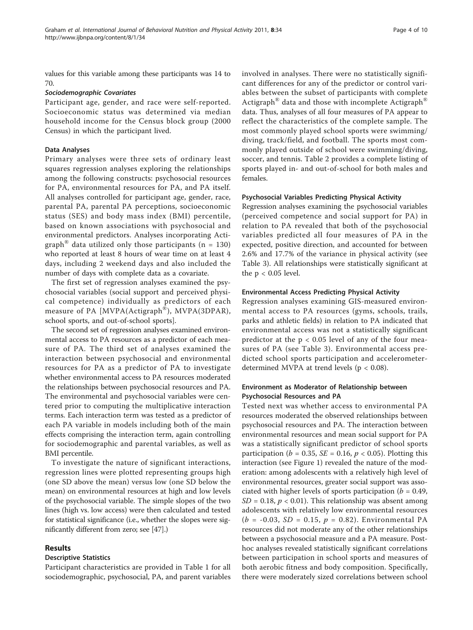values for this variable among these participants was 14 to 70.

# Sociodemographic Covariates

Participant age, gender, and race were self-reported. Socioeconomic status was determined via median household income for the Census block group (2000 Census) in which the participant lived.

#### Data Analyses

Primary analyses were three sets of ordinary least squares regression analyses exploring the relationships among the following constructs: psychosocial resources for PA, environmental resources for PA, and PA itself. All analyses controlled for participant age, gender, race, parental PA, parental PA perceptions, socioeconomic status (SES) and body mass index (BMI) percentile, based on known associations with psychosocial and environmental predictors. Analyses incorporating Actigraph<sup>®</sup> data utilized only those participants ( $n = 130$ ) who reported at least 8 hours of wear time on at least 4 days, including 2 weekend days and also included the number of days with complete data as a covariate.

The first set of regression analyses examined the psychosocial variables (social support and perceived physical competence) individually as predictors of each measure of PA [MVPA(Actigraph®), MVPA(3DPAR), school sports, and out-of-school sports].

The second set of regression analyses examined environmental access to PA resources as a predictor of each measure of PA. The third set of analyses examined the interaction between psychosocial and environmental resources for PA as a predictor of PA to investigate whether environmental access to PA resources moderated the relationships between psychosocial resources and PA. The environmental and psychosocial variables were centered prior to computing the multiplicative interaction terms. Each interaction term was tested as a predictor of each PA variable in models including both of the main effects comprising the interaction term, again controlling for sociodemographic and parental variables, as well as BMI percentile.

To investigate the nature of significant interactions, regression lines were plotted representing groups high (one SD above the mean) versus low (one SD below the mean) on environmental resources at high and low levels of the psychosocial variable. The simple slopes of the two lines (high vs. low access) were then calculated and tested for statistical significance (i.e., whether the slopes were significantly different from zero; see [\[47\]](#page-9-0).)

# Results

#### Descriptive Statistics

Participant characteristics are provided in Table [1](#page-4-0) for all sociodemographic, psychosocial, PA, and parent variables involved in analyses. There were no statistically significant differences for any of the predictor or control variables between the subset of participants with complete Actigraph<sup>®</sup> data and those with incomplete Actigraph<sup>®</sup> data. Thus, analyses of all four measures of PA appear to reflect the characteristics of the complete sample. The most commonly played school sports were swimming/ diving, track/field, and football. The sports most commonly played outside of school were swimming/diving, soccer, and tennis. Table [2](#page-5-0) provides a complete listing of sports played in- and out-of-school for both males and females.

#### Psychosocial Variables Predicting Physical Activity

Regression analyses examining the psychosocial variables (perceived competence and social support for PA) in relation to PA revealed that both of the psychosocial variables predicted all four measures of PA in the expected, positive direction, and accounted for between 2.6% and 17.7% of the variance in physical activity (see Table [3\)](#page-5-0). All relationships were statistically significant at the  $p < 0.05$  level.

#### Environmental Access Predicting Physical Activity

Regression analyses examining GIS-measured environmental access to PA resources (gyms, schools, trails, parks and athletic fields) in relation to PA indicated that environmental access was not a statistically significant predictor at the  $p < 0.05$  level of any of the four measures of PA (see Table [3](#page-5-0)). Environmental access predicted school sports participation and accelerometerdetermined MVPA at trend levels (p < 0.08).

# Environment as Moderator of Relationship between Psychosocial Resources and PA

Tested next was whether access to environmental PA resources moderated the observed relationships between psychosocial resources and PA. The interaction between environmental resources and mean social support for PA was a statistically significant predictor of school sports participation ( $b = 0.35$ ,  $SE = 0.16$ ,  $p < 0.05$ ). Plotting this interaction (see Figure [1](#page-6-0)) revealed the nature of the moderation: among adolescents with a relatively high level of environmental resources, greater social support was associated with higher levels of sports participation ( $b = 0.49$ ,  $SD = 0.18$ ,  $p < 0.01$ ). This relationship was absent among adolescents with relatively low environmental resources  $(b = -0.03, SD = 0.15, p = 0.82)$ . Environmental PA resources did not moderate any of the other relationships between a psychosocial measure and a PA measure. Posthoc analyses revealed statistically significant correlations between participation in school sports and measures of both aerobic fitness and body composition. Specifically, there were moderately sized correlations between school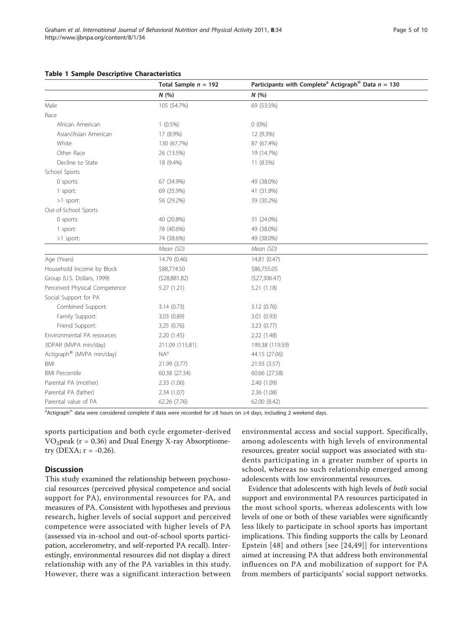<span id="page-4-0"></span>

|                                       | Total Sample $n = 192$ | Participants with Complete <sup>a</sup> Actigraph <sup>®</sup> Data $n = 130$ |  |  |  |
|---------------------------------------|------------------------|-------------------------------------------------------------------------------|--|--|--|
|                                       | N(%)                   | N(%)                                                                          |  |  |  |
| Male                                  | 105 (54.7%)            | 69 (53.5%)                                                                    |  |  |  |
| Race                                  |                        |                                                                               |  |  |  |
| African American                      | $1(0.5\%)$             | $0(0\%)$                                                                      |  |  |  |
| Asian/Asian American                  | 17 (8.9%)              | 12 (9.3%)                                                                     |  |  |  |
| White                                 | 130 (67.7%)            | 87 (67.4%)                                                                    |  |  |  |
| Other Race                            | 26 (13.5%)             | 19 (14.7%)                                                                    |  |  |  |
| Decline to State                      | 18 (9.4%)              | 11 (8.5%)                                                                     |  |  |  |
| School Sports                         |                        |                                                                               |  |  |  |
| 0 sports:                             | 67 (34.9%)             | 49 (38.0%)                                                                    |  |  |  |
| 1 sport:                              | 69 (35.9%)             | 41 (31.8%)                                                                    |  |  |  |
| >1 sport:                             | 56 (29.2%)             | 39 (30.2%)                                                                    |  |  |  |
| Out-of-School Sports                  |                        |                                                                               |  |  |  |
| 0 sports:                             | 40 (20.8%)             | 31 (24.0%)                                                                    |  |  |  |
| 1 sport:                              | 78 (40.6%)             | 49 (38.0%)                                                                    |  |  |  |
| >1 sport:                             | 74 (38.6%)             | 49 (38.0%)                                                                    |  |  |  |
|                                       | Mean (SD)              | Mean (SD)                                                                     |  |  |  |
| Age (Years)                           | 14.79 (0.46)           | 14.81 (0.47)                                                                  |  |  |  |
| Household Income by Block             | \$88,774.50            | \$86,755.05                                                                   |  |  |  |
| Group (U.S. Dollars, 1999)            | (528,881.82)           | (527,306.47)                                                                  |  |  |  |
| Perceived Physical Competence         | 5.27 (1.21)            | 5.21(1.18)                                                                    |  |  |  |
| Social Support for PA                 |                        |                                                                               |  |  |  |
| Combined Support:                     | 3.14(0.73)             | 3.12 (0.76)                                                                   |  |  |  |
| Family Support:                       | 3.03(0.89)             | 3.01(0.93)                                                                    |  |  |  |
| Friend Support:                       | 3.25(0.76)             | 3.23(0.77)                                                                    |  |  |  |
| Environmental PA resources            | 2.20(1.45)             | 2.22(1.48)                                                                    |  |  |  |
| 3DPAR (MVPA min/day)                  | 211.09 (115.81)        | 199.38 (119.59)                                                               |  |  |  |
| Actigraph <sup>®</sup> (MVPA min/day) | $NA^a$                 | 44.15 (27.06)                                                                 |  |  |  |
| <b>BMI</b>                            | 21.99 (3.77)           | 21.93 (3.57)                                                                  |  |  |  |
| <b>BMI Percentile</b>                 | 60.38 (27.34)          | 60.66 (27.58)                                                                 |  |  |  |
| Parental PA (mother)                  | 2.33(1.06)             | 2.40 (1.09)                                                                   |  |  |  |
| Parental PA (father)                  | 2.34(1.07)             | 2.36 (1.08)                                                                   |  |  |  |
| Parental value of PA                  | 62.26 (7.76)           | 62.00 (8.42)                                                                  |  |  |  |

<sup>a</sup>Actigraph® data were considered complete if data were recorded for ≥8 hours on ≥4 days, including 2 weekend days.

sports participation and both cycle ergometer-derived  $VO<sub>2</sub>peak (r = 0.36)$  and Dual Energy X-ray Absorptiometry (DEXA;  $r = -0.26$ ).

#### **Discussion**

This study examined the relationship between psychosocial resources (perceived physical competence and social support for PA), environmental resources for PA, and measures of PA. Consistent with hypotheses and previous research, higher levels of social support and perceived competence were associated with higher levels of PA (assessed via in-school and out-of-school sports participation, accelerometry, and self-reported PA recall). Interestingly, environmental resources did not display a direct relationship with any of the PA variables in this study. However, there was a significant interaction between

environmental access and social support. Specifically, among adolescents with high levels of environmental resources, greater social support was associated with students participating in a greater number of sports in school, whereas no such relationship emerged among adolescents with low environmental resources.

Evidence that adolescents with high levels of both social support and environmental PA resources participated in the most school sports, whereas adolescents with low levels of one or both of these variables were significantly less likely to participate in school sports has important implications. This finding supports the calls by Leonard Epstein [[48\]](#page-9-0) and others [see [[24](#page-9-0),[49\]](#page-9-0)] for interventions aimed at increasing PA that address both environmental influences on PA and mobilization of support for PA from members of participants' social support networks.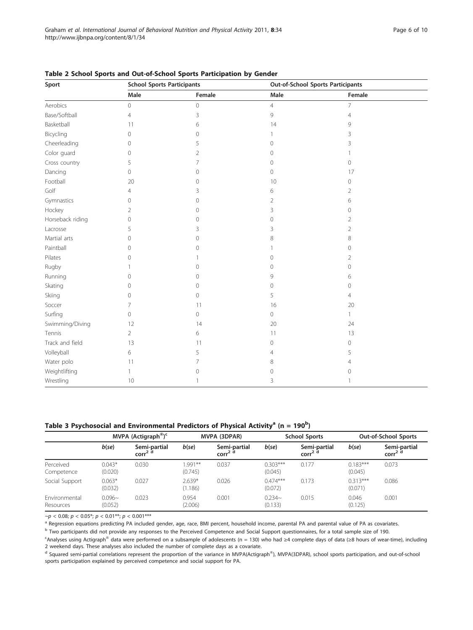| Sport            | <b>School Sports Participants</b> |                     | Out-of-School Sports Participants |                |  |
|------------------|-----------------------------------|---------------------|-----------------------------------|----------------|--|
|                  | Male                              | Female              | Male                              | Female         |  |
| Aerobics         | $\circ$                           | 0                   | $\overline{4}$                    | 7              |  |
| Base/Softball    | $\overline{4}$                    | 3                   | 9                                 | 4              |  |
| Basketball       | 11                                | 6                   | 14                                | 9              |  |
| Bicycling        | 0                                 | 0                   |                                   | 3              |  |
| Cheerleading     | $\Omega$                          | 5                   | 0                                 | 3              |  |
| Color guard      | $\Omega$                          | 2                   | $\Omega$                          |                |  |
| Cross country    | 5                                 | 7                   | $\Omega$                          | $\mathbf 0$    |  |
| Dancing          | $\Omega$                          | 0                   | $\circ$                           | 17             |  |
| Football         | 20                                | $\Omega$            | 10                                | $\mathbf 0$    |  |
| Golf             | 4                                 | 3                   | 6                                 | 2              |  |
| Gymnastics       | 0                                 | 0                   | 2                                 | 6              |  |
| Hockey           | 2                                 | 0                   | 3                                 | 0              |  |
| Horseback riding | $\Omega$                          | 0                   | $\Omega$                          | 2              |  |
| Lacrosse         | 5                                 | 3                   | 3                                 | $\overline{2}$ |  |
| Martial arts     | $\Omega$                          | $\Omega$            | 8                                 | 8              |  |
| Paintball        | 0                                 | 0                   |                                   | 0              |  |
| Pilates          | 0                                 |                     | $\Omega$                          | $\overline{2}$ |  |
| Rugby            |                                   | 0                   | 0                                 | $\circ$        |  |
| Running          | ∩                                 | 0                   | 9                                 | 6              |  |
| Skating          | $\Omega$                          | 0                   | $\Omega$                          | 0              |  |
| Skiing           | 0                                 | 0                   | 5                                 | 4              |  |
| Soccer           | 7                                 | 11                  | 16                                | 20             |  |
| Surfing          | $\Omega$                          | $\mathsf{O}\xspace$ | $\circ$                           | $\mathbf{1}$   |  |
| Swimming/Diving  | 12                                | 14                  | 20                                | 24             |  |
| Tennis           | $\overline{2}$                    | 6                   | 11                                | 13             |  |
| Track and field  | 13                                | 11                  | $\Omega$                          | 0              |  |
| Volleyball       | 6                                 | 5                   | 4                                 | 5              |  |
| Water polo       | 11                                |                     | 8                                 | 4              |  |
| Weightlifting    |                                   | 0                   | 0                                 | 0              |  |
| Wrestling        | 10                                |                     | 3                                 |                |  |

<span id="page-5-0"></span>

|  |  | Table 2 School Sports and Out-of-School Sports Participation by Gender |  |  |  |  |
|--|--|------------------------------------------------------------------------|--|--|--|--|
|--|--|------------------------------------------------------------------------|--|--|--|--|

Table 3 Psychosocial and Environmental Predictors of Physical Activity $^{\rm a}$  (n = 190 $^{\rm b}$ )

|                            | MVPA $(Actigraph^{\circledR})^c$ |                                     | MVPA (3DPAR)         |                                     | <b>School Sports</b>  |                                     | <b>Out-of-School Sports</b> |                                     |
|----------------------------|----------------------------------|-------------------------------------|----------------------|-------------------------------------|-----------------------|-------------------------------------|-----------------------------|-------------------------------------|
|                            | b(se)                            | Semi-partial<br>corr <sup>2 d</sup> | b(se)                | Semi-partial<br>corr <sup>2 d</sup> | b(se)                 | Semi-partial<br>corr <sup>2 d</sup> | b(se)                       | Semi-partial<br>corr <sup>2 d</sup> |
| Perceived<br>Competence    | $0.043*$<br>(0.020)              | 0.030                               | $1.991**$<br>(0.745) | 0.037                               | $0.303***$<br>(0.045) | 0.177                               | $0.183***$<br>(0.045)       | 0.073                               |
| Social Support             | $0.063*$<br>(0.032)              | 0.027                               | $2.639*$<br>(1.186)  | 0.026                               | $0.474***$<br>(0.072) | 0.173                               | $0.313***$<br>(0.071)       | 0.086                               |
| Environmental<br>Resources | $0.096 -$<br>(0.052)             | 0.023                               | 0.954<br>(2.006)     | 0.001                               | $0.234 -$<br>(0.133)  | 0.015                               | 0.046<br>(0.125)            | 0.001                               |

 $\sim \! p < 0.08; \, p < 0.05^*; \, p < 0.01^{**}; \, p < 0.001^{***}$ 

<sup>a</sup> Regression equations predicting PA included gender, age, race, BMI percent, household income, parental PA and parental value of PA as covariates.

<sup>b</sup> Two participants did not provide any responses to the Perceived Competence and Social Support questionnaires, for a total sample size of 190.

<sup>c</sup>Analyses using Actigraph® data were performed on a subsample of adolescents (n = 130) who had ≥4 complete days of data (≥8 hours of wear-time), including 2 weekend days. These analyses also included the number of complete days as a covariate.

<sup>d</sup> Squared semi-partial correlations represent the proportion of the variance in MVPA(Actigraph®), MVPA(3DPAR), school sports participation, and out-of-school sports participation explained by perceived competence and social support for PA.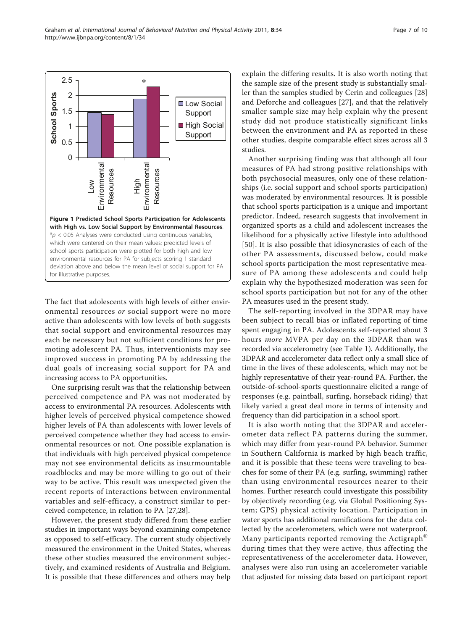<span id="page-6-0"></span>

The fact that adolescents with high levels of either environmental resources or social support were no more active than adolescents with low levels of both suggests that social support and environmental resources may each be necessary but not sufficient conditions for promoting adolescent PA. Thus, interventionists may see improved success in promoting PA by addressing the dual goals of increasing social support for PA and increasing access to PA opportunities.

One surprising result was that the relationship between perceived competence and PA was not moderated by access to environmental PA resources. Adolescents with higher levels of perceived physical competence showed higher levels of PA than adolescents with lower levels of perceived competence whether they had access to environmental resources or not. One possible explanation is that individuals with high perceived physical competence may not see environmental deficits as insurmountable roadblocks and may be more willing to go out of their way to be active. This result was unexpected given the recent reports of interactions between environmental variables and self-efficacy, a construct similar to perceived competence, in relation to PA [\[27,28\]](#page-9-0).

However, the present study differed from these earlier studies in important ways beyond examining competence as opposed to self-efficacy. The current study objectively measured the environment in the United States, whereas these other studies measured the environment subjectively, and examined residents of Australia and Belgium. It is possible that these differences and others may help explain the differing results. It is also worth noting that the sample size of the present study is substantially smaller than the samples studied by Cerin and colleagues [[28](#page-9-0)] and Deforche and colleagues [[27\]](#page-9-0), and that the relatively smaller sample size may help explain why the present study did not produce statistically significant links between the environment and PA as reported in these other studies, despite comparable effect sizes across all 3 studies.

Another surprising finding was that although all four measures of PA had strong positive relationships with both psychosocial measures, only one of these relationships (i.e. social support and school sports participation) was moderated by environmental resources. It is possible that school sports participation is a unique and important predictor. Indeed, research suggests that involvement in organized sports as a child and adolescent increases the likelihood for a physically active lifestyle into adulthood [[50](#page-9-0)]. It is also possible that idiosyncrasies of each of the other PA assessments, discussed below, could make school sports participation the most representative measure of PA among these adolescents and could help explain why the hypothesized moderation was seen for school sports participation but not for any of the other PA measures used in the present study.

The self-reporting involved in the 3DPAR may have been subject to recall bias or inflated reporting of time spent engaging in PA. Adolescents self-reported about 3 hours more MVPA per day on the 3DPAR than was recorded via accelerometry (see Table [1](#page-4-0)). Additionally, the 3DPAR and accelerometer data reflect only a small slice of time in the lives of these adolescents, which may not be highly representative of their year-round PA. Further, the outside-of-school-sports questionnaire elicited a range of responses (e.g. paintball, surfing, horseback riding) that likely varied a great deal more in terms of intensity and frequency than did participation in a school sport.

It is also worth noting that the 3DPAR and accelerometer data reflect PA patterns during the summer, which may differ from year-round PA behavior. Summer in Southern California is marked by high beach traffic, and it is possible that these teens were traveling to beaches for some of their PA (e.g. surfing, swimming) rather than using environmental resources nearer to their homes. Further research could investigate this possibility by objectively recording (e.g. via Global Positioning System; GPS) physical activity location. Participation in water sports has additional ramifications for the data collected by the accelerometers, which were not waterproof. Many participants reported removing the Actigraph<sup>®</sup> during times that they were active, thus affecting the representativeness of the accelerometer data. However, analyses were also run using an accelerometer variable that adjusted for missing data based on participant report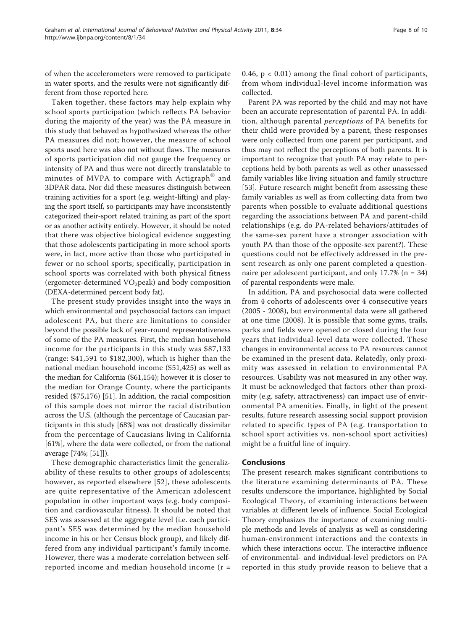of when the accelerometers were removed to participate in water sports, and the results were not significantly different from those reported here.

Taken together, these factors may help explain why school sports participation (which reflects PA behavior during the majority of the year) was the PA measure in this study that behaved as hypothesized whereas the other PA measures did not; however, the measure of school sports used here was also not without flaws. The measures of sports participation did not gauge the frequency or intensity of PA and thus were not directly translatable to minutes of MVPA to compare with Actigraph® and 3DPAR data. Nor did these measures distinguish between training activities for a sport (e.g. weight-lifting) and playing the sport itself, so participants may have inconsistently categorized their-sport related training as part of the sport or as another activity entirely. However, it should be noted that there was objective biological evidence suggesting that those adolescents participating in more school sports were, in fact, more active than those who participated in fewer or no school sports; specifically, participation in school sports was correlated with both physical fitness (ergometer-determined  $VO<sub>2</sub>peak$ ) and body composition (DEXA-determined percent body fat).

The present study provides insight into the ways in which environmental and psychosocial factors can impact adolescent PA, but there are limitations to consider beyond the possible lack of year-round representativeness of some of the PA measures. First, the median household income for the participants in this study was \$87,133 (range: \$41,591 to \$182,300), which is higher than the national median household income (\$51,425) as well as the median for California (\$61,154); however it is closer to the median for Orange County, where the participants resided (\$75,176) [\[51\]](#page-9-0). In addition, the racial composition of this sample does not mirror the racial distribution across the U.S. (although the percentage of Caucasian participants in this study [68%] was not drastically dissimilar from the percentage of Caucasians living in California [61%], where the data were collected, or from the national average [74%; [\[51\]](#page-9-0)]).

These demographic characteristics limit the generalizability of these results to other groups of adolescents; however, as reported elsewhere [\[52\]](#page-9-0), these adolescents are quite representative of the American adolescent population in other important ways (e.g. body composition and cardiovascular fitness). It should be noted that SES was assessed at the aggregate level (i.e. each participant's SES was determined by the median household income in his or her Census block group), and likely differed from any individual participant's family income. However, there was a moderate correlation between selfreported income and median household income (r = 0.46,  $p < 0.01$ ) among the final cohort of participants, from whom individual-level income information was collected.

Parent PA was reported by the child and may not have been an accurate representation of parental PA. In addition, although parental perceptions of PA benefits for their child were provided by a parent, these responses were only collected from one parent per participant, and thus may not reflect the perceptions of both parents. It is important to recognize that youth PA may relate to perceptions held by both parents as well as other unassessed family variables like living situation and family structure [[53](#page-9-0)]. Future research might benefit from assessing these family variables as well as from collecting data from two parents when possible to evaluate additional questions regarding the associations between PA and parent-child relationships (e.g. do PA-related behaviors/attitudes of the same-sex parent have a stronger association with youth PA than those of the opposite-sex parent?). These questions could not be effectively addressed in the present research as only one parent completed a questionnaire per adolescent participant, and only 17.7% (n = 34) of parental respondents were male.

In addition, PA and psychosocial data were collected from 4 cohorts of adolescents over 4 consecutive years (2005 - 2008), but environmental data were all gathered at one time (2008). It is possible that some gyms, trails, parks and fields were opened or closed during the four years that individual-level data were collected. These changes in environmental access to PA resources cannot be examined in the present data. Relatedly, only proximity was assessed in relation to environmental PA resources. Usability was not measured in any other way. It must be acknowledged that factors other than proximity (e.g. safety, attractiveness) can impact use of environmental PA amenities. Finally, in light of the present results, future research assessing social support provision related to specific types of PA (e.g. transportation to school sport activities vs. non-school sport activities) might be a fruitful line of inquiry.

#### Conclusions

The present research makes significant contributions to the literature examining determinants of PA. These results underscore the importance, highlighted by Social Ecological Theory, of examining interactions between variables at different levels of influence. Social Ecological Theory emphasizes the importance of examining multiple methods and levels of analysis as well as considering human-environment interactions and the contexts in which these interactions occur. The interactive influence of environmental- and individual-level predictors on PA reported in this study provide reason to believe that a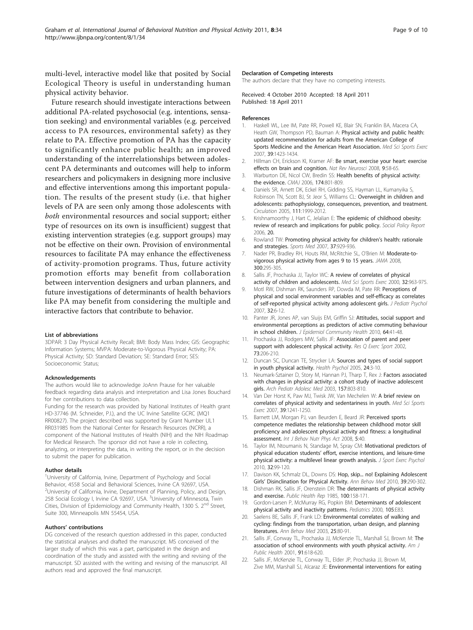<span id="page-8-0"></span>multi-level, interactive model like that posited by Social Ecological Theory is useful in understanding human physical activity behavior.

Future research should investigate interactions between additional PA-related psychosocial (e.g. intentions, sensation seeking) and environmental variables (e.g. perceived access to PA resources, environmental safety) as they relate to PA. Effective promotion of PA has the capacity to significantly enhance public health; an improved understanding of the interrelationships between adolescent PA determinants and outcomes will help to inform researchers and policymakers in designing more inclusive and effective interventions among this important population. The results of the present study (i.e. that higher levels of PA are seen only among those adolescents with both environmental resources and social support; either type of resources on its own is insufficient) suggest that existing intervention strategies (e.g. support groups) may not be effective on their own. Provision of environmental resources to facilitate PA may enhance the effectiveness of activity-promotion programs. Thus, future activity promotion efforts may benefit from collaboration between intervention designers and urban planners, and future investigations of determinants of health behaviors like PA may benefit from considering the multiple and interactive factors that contribute to behavior.

#### List of abbreviations

3DPAR: 3 Day Physical Activity Recall; BMI: Body Mass Index; GIS: Geographic Information Systems; MVPA: Moderate-to-Vigorous Physical Activity; PA: Physical Activity; SD: Standard Deviation; SE: Standard Error; SES: Socioeconomic Status;

#### Acknowledgements

The authors would like to acknowledge JoAnn Prause for her valuable feedback regarding data analysis and interpretation and Lisa Jones Bouchard for her contributions to data collection.

Funding for the research was provided by National Institutes of Health grant HD-37746 (M. Schneider, P.I.), and the UC Irvine Satellite GCRC (MQ1 RR00827). The project described was supported by Grant Number UL1 RR031985 from the National Center for Research Resources (NCRR), a component of the National Institutes of Health (NIH) and the NIH Roadmap for Medical Research. The sponsor did not have a role in collecting, analyzing, or interpreting the data, in writing the report, or in the decision to submit the paper for publication.

#### Author details

<sup>1</sup>University of California, Irvine, Department of Psychology and Social Behavior, 4558 Social and Behavioral Sciences, Irvine CA 92697, USA. <sup>2</sup>University of California, Irvine, Department of Planning, Policy, and Design, 258 Social Ecology I, Irvine CA 92697, USA. <sup>3</sup>University of Minnesota, Twin Cities, Division of Epidemiology and Community Health, 1300 S. 2<sup>nd</sup> Street, Suite 300, Minneapolis MN 55454, USA.

#### Authors' contributions

DG conceived of the research question addressed in this paper, conducted the statistical analyses and drafted the manuscript. MS conceived of the larger study of which this was a part, participated in the design and coordination of the study and assisted with the writing and revising of the manuscript. SD assisted with the writing and revising of the manuscript. All authors read and approved the final manuscript.

#### Declaration of Competing interests

The authors declare that they have no competing interests.

Received: 4 October 2010 Accepted: 18 April 2011 Published: 18 April 2011

#### References

- 1. Haskell WL, Lee IM, Pate RR, Powell KE, Blair SN, Franklin BA, Macera CA, Heath GW, Thompson PD, Bauman A: [Physical activity and public health:](http://www.ncbi.nlm.nih.gov/pubmed/17762377?dopt=Abstract) [updated recommendation for adults from the American College of](http://www.ncbi.nlm.nih.gov/pubmed/17762377?dopt=Abstract) [Sports Medicine and the American Heart Association.](http://www.ncbi.nlm.nih.gov/pubmed/17762377?dopt=Abstract) Med Sci Sports Exerc 2007, 39:1423-1434.
- 2. Hillman CH, Erickson KI, Kramer AF: [Be smart, exercise your heart: exercise](http://www.ncbi.nlm.nih.gov/pubmed/18094706?dopt=Abstract) [effects on brain and cognition.](http://www.ncbi.nlm.nih.gov/pubmed/18094706?dopt=Abstract) Nat Rev Neurosci 2008, 9:58-65.
- 3. Warburton DE, Nicol CW, Bredin SS: [Health benefits of physical activity:](http://www.ncbi.nlm.nih.gov/pubmed/16534088?dopt=Abstract) [the evidence.](http://www.ncbi.nlm.nih.gov/pubmed/16534088?dopt=Abstract) CMAJ 2006, 174:801-809.
- 4. Daniels SR, Arnett DK, Eckel RH, Gidding SS, Hayman LL, Kumanyika S, Robinson TN, Scott BJ, St Jeor S, Williams CL: [Overweight in children and](http://www.ncbi.nlm.nih.gov/pubmed/15837955?dopt=Abstract) [adolescents: pathophysiology, consequences, prevention, and treatment.](http://www.ncbi.nlm.nih.gov/pubmed/15837955?dopt=Abstract) Circulation 2005, 111:1999-2012.
- 5. Krishnamoorthy J, Hart C, Jelalian E: The epidemic of childhood obesity: review of research and implications for public policy. Social Policy Report 2006, 20.
- 6. Rowland TW: [Promoting physical activity for children](http://www.ncbi.nlm.nih.gov/pubmed/17953464?dopt=Abstract)'s health: rationale [and strategies.](http://www.ncbi.nlm.nih.gov/pubmed/17953464?dopt=Abstract) Sports Med 2007, 37:929-936.
- Nader PR, Bradley RH, Houts RM, McRitchie SL, O'Brien M: [Moderate-to](http://www.ncbi.nlm.nih.gov/pubmed/18632544?dopt=Abstract)[vigorous physical activity from ages 9 to 15 years.](http://www.ncbi.nlm.nih.gov/pubmed/18632544?dopt=Abstract) JAMA 2008, 300:295-305.
- 8. Sallis JF, Prochaska JJ, Taylor WC: [A review of correlates of physical](http://www.ncbi.nlm.nih.gov/pubmed/10795788?dopt=Abstract) [activity of children and adolescents.](http://www.ncbi.nlm.nih.gov/pubmed/10795788?dopt=Abstract) Med Sci Sports Exerc 2000, 32:963-975.
- Motl RW, Dishman RK, Saunders RP, Dowda M, Pate RR: [Perceptions of](http://www.ncbi.nlm.nih.gov/pubmed/16707779?dopt=Abstract) [physical and social environment variables and self-efficacy as correlates](http://www.ncbi.nlm.nih.gov/pubmed/16707779?dopt=Abstract) [of self-reported physical activity among adolescent girls.](http://www.ncbi.nlm.nih.gov/pubmed/16707779?dopt=Abstract) J Pediatr Psychol 2007, 32:6-12.
- 10. Panter JR, Jones AP, van Sluijs EM, Griffin SJ: [Attitudes, social support and](http://www.ncbi.nlm.nih.gov/pubmed/19465403?dopt=Abstract) [environmental perceptions as predictors of active commuting behaviour](http://www.ncbi.nlm.nih.gov/pubmed/19465403?dopt=Abstract) [in school children.](http://www.ncbi.nlm.nih.gov/pubmed/19465403?dopt=Abstract) J Epidemiol Community Health 2010, 64:41-48.
- 11. Prochaska JJ, Rodgers MW, Sallis JF: [Association of parent and peer](http://www.ncbi.nlm.nih.gov/pubmed/12092896?dopt=Abstract) [support with adolescent physical activity.](http://www.ncbi.nlm.nih.gov/pubmed/12092896?dopt=Abstract) Res Q Exerc Sport 2002, 73:206-210.
- 12. Duncan SC, Duncan TE, Strycker LA: [Sources and types of social support](http://www.ncbi.nlm.nih.gov/pubmed/15631557?dopt=Abstract) [in youth physical activity.](http://www.ncbi.nlm.nih.gov/pubmed/15631557?dopt=Abstract) Health Psychol 2005, 24:3-10.
- 13. Neumark-Sztainer D, Story M, Hannan PJ, Tharp T, Rex J: [Factors associated](http://www.ncbi.nlm.nih.gov/pubmed/12912787?dopt=Abstract) [with changes in physical activity: a cohort study of inactive adolescent](http://www.ncbi.nlm.nih.gov/pubmed/12912787?dopt=Abstract) [girls.](http://www.ncbi.nlm.nih.gov/pubmed/12912787?dopt=Abstract) Arch Pediatr Adolesc Med 2003, 157:803-810.
- 14. Van Der Horst K, Paw MJ, Twisk JW, Van Mechelen W: [A brief review on](http://www.ncbi.nlm.nih.gov/pubmed/17762356?dopt=Abstract) [correlates of physical activity and sedentariness in youth.](http://www.ncbi.nlm.nih.gov/pubmed/17762356?dopt=Abstract) Med Sci Sports Exerc 2007, 39:1241-1250.
- 15. Barnett LM, Morgan PJ, van Beurden E, Beard JR: [Perceived sports](http://www.ncbi.nlm.nih.gov/pubmed/18687148?dopt=Abstract) [competence mediates the relationship between childhood motor skill](http://www.ncbi.nlm.nih.gov/pubmed/18687148?dopt=Abstract) [proficiency and adolescent physical activity and fitness: a longitudinal](http://www.ncbi.nlm.nih.gov/pubmed/18687148?dopt=Abstract) [assessment.](http://www.ncbi.nlm.nih.gov/pubmed/18687148?dopt=Abstract) Int J Behav Nutr Phys Act 2008, 5:40.
- 16. Taylor IM, Ntoumanis N, Standage M, Spray CM: [Motivational predictors of](http://www.ncbi.nlm.nih.gov/pubmed/20167954?dopt=Abstract) physical education students' [effort, exercise intentions, and leisure-time](http://www.ncbi.nlm.nih.gov/pubmed/20167954?dopt=Abstract) [physical activity: a multilevel linear growth analysis.](http://www.ncbi.nlm.nih.gov/pubmed/20167954?dopt=Abstract) J Sport Exerc Psychol 2010, 32:99-120.
- 17. Davison KK, Schmalz DL, Downs DS: [Hop, skip... no! Explaining Adolescent](http://www.ncbi.nlm.nih.gov/pubmed/20393818?dopt=Abstract) Girls' [Disinclination for Physical Activity.](http://www.ncbi.nlm.nih.gov/pubmed/20393818?dopt=Abstract) Ann Behav Med 2010, 39:290-302.
- 18. Dishman RK, Sallis JF, Orenstein DR: [The determinants of physical activity](http://www.ncbi.nlm.nih.gov/pubmed/3920714?dopt=Abstract) [and exercise.](http://www.ncbi.nlm.nih.gov/pubmed/3920714?dopt=Abstract) Public Health Rep 1985, 100:158-171.
- 19. Gordon-Larsen P, McMurray RG, Popkin BM: [Determinants of adolescent](http://www.ncbi.nlm.nih.gov/pubmed/10835096?dopt=Abstract) [physical activity and inactivity patterns.](http://www.ncbi.nlm.nih.gov/pubmed/10835096?dopt=Abstract) Pediatrics 2000, 105:E83.
- 20. Saelens BE, Sallis JF, Frank LD: [Environmental correlates of walking and](http://www.ncbi.nlm.nih.gov/pubmed/12704009?dopt=Abstract) [cycling: findings from the transportation, urban design, and planning](http://www.ncbi.nlm.nih.gov/pubmed/12704009?dopt=Abstract) [literatures.](http://www.ncbi.nlm.nih.gov/pubmed/12704009?dopt=Abstract) Ann Behav Med 2003, 25:80-91.
- 21. Sallis JF, Conway TL, Prochaska JJ, McKenzie TL, Marshall SJ, Brown M: [The](http://www.ncbi.nlm.nih.gov/pubmed/11291375?dopt=Abstract) [association of school environments with youth physical activity.](http://www.ncbi.nlm.nih.gov/pubmed/11291375?dopt=Abstract) Am J Public Health 2001, 91:618-620.
- 22. Sallis JF, McKenzie TL, Conway TL, Elder JP, Prochaska JJ, Brown M, Zive MM, Marshall SJ, Alcaraz JE: [Environmental interventions for eating](http://www.ncbi.nlm.nih.gov/pubmed/12657338?dopt=Abstract)